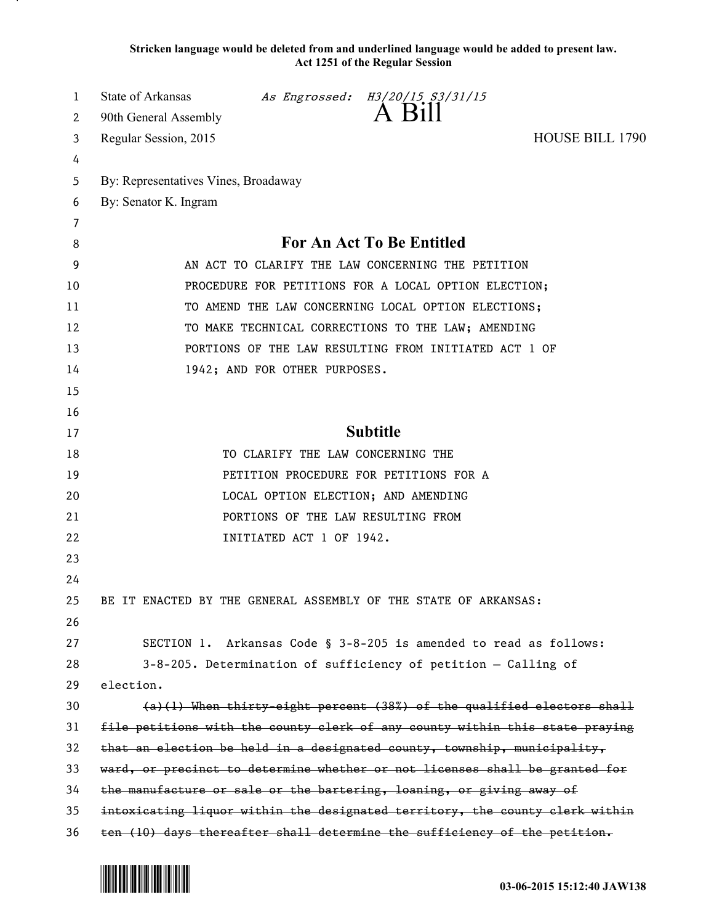**Stricken language would be deleted from and underlined language would be added to present law. Act 1251 of the Regular Session**

| 1  | State of Arkansas                                                            |                          | As Engrossed: H3/20/15 S3/31/15                                          |                 |
|----|------------------------------------------------------------------------------|--------------------------|--------------------------------------------------------------------------|-----------------|
| 2  | 90th General Assembly                                                        |                          | A Bill                                                                   |                 |
| 3  | Regular Session, 2015                                                        |                          |                                                                          | HOUSE BILL 1790 |
| 4  |                                                                              |                          |                                                                          |                 |
| 5  | By: Representatives Vines, Broadaway                                         |                          |                                                                          |                 |
| 6  | By: Senator K. Ingram                                                        |                          |                                                                          |                 |
| 7  |                                                                              |                          |                                                                          |                 |
| 8  |                                                                              |                          | For An Act To Be Entitled                                                |                 |
| 9  |                                                                              |                          | AN ACT TO CLARIFY THE LAW CONCERNING THE PETITION                        |                 |
| 10 |                                                                              |                          | PROCEDURE FOR PETITIONS FOR A LOCAL OPTION ELECTION;                     |                 |
| 11 |                                                                              |                          | TO AMEND THE LAW CONCERNING LOCAL OPTION ELECTIONS;                      |                 |
| 12 |                                                                              |                          | TO MAKE TECHNICAL CORRECTIONS TO THE LAW; AMENDING                       |                 |
| 13 |                                                                              |                          | PORTIONS OF THE LAW RESULTING FROM INITIATED ACT 1 OF                    |                 |
| 14 | 1942; AND FOR OTHER PURPOSES.                                                |                          |                                                                          |                 |
| 15 |                                                                              |                          |                                                                          |                 |
| 16 |                                                                              |                          |                                                                          |                 |
| 17 |                                                                              |                          | <b>Subtitle</b>                                                          |                 |
| 18 |                                                                              |                          | TO CLARIFY THE LAW CONCERNING THE                                        |                 |
| 19 |                                                                              |                          | PETITION PROCEDURE FOR PETITIONS FOR A                                   |                 |
| 20 |                                                                              |                          | LOCAL OPTION ELECTION; AND AMENDING                                      |                 |
| 21 |                                                                              |                          | PORTIONS OF THE LAW RESULTING FROM                                       |                 |
| 22 |                                                                              | INITIATED ACT 1 OF 1942. |                                                                          |                 |
| 23 |                                                                              |                          |                                                                          |                 |
| 24 |                                                                              |                          |                                                                          |                 |
| 25 | BE IT ENACTED BY THE GENERAL ASSEMBLY OF THE STATE OF ARKANSAS:              |                          |                                                                          |                 |
| 26 |                                                                              |                          |                                                                          |                 |
| 27 |                                                                              |                          | SECTION 1. Arkansas Code § 3-8-205 is amended to read as follows:        |                 |
| 28 |                                                                              |                          | $3-8-205$ . Determination of sufficiency of petition - Calling of        |                 |
| 29 | election.                                                                    |                          |                                                                          |                 |
| 30 |                                                                              |                          | $(a)(1)$ When thirty-eight percent (38%) of the qualified electors shall |                 |
| 31 | file petitions with the county clerk of any county within this state praying |                          |                                                                          |                 |
| 32 | that an election be held in a designated county, township, municipality,     |                          |                                                                          |                 |
| 33 | ward, or precinct to determine whether or not licenses shall be granted for  |                          |                                                                          |                 |
| 34 | the manufacture or sale or the bartering, loaning, or giving away of         |                          |                                                                          |                 |
| 35 | intoxicating liquor within the designated territory, the county clerk within |                          |                                                                          |                 |
| 36 | ten (10) days thereafter shall determine the sufficiency of the petition.    |                          |                                                                          |                 |



.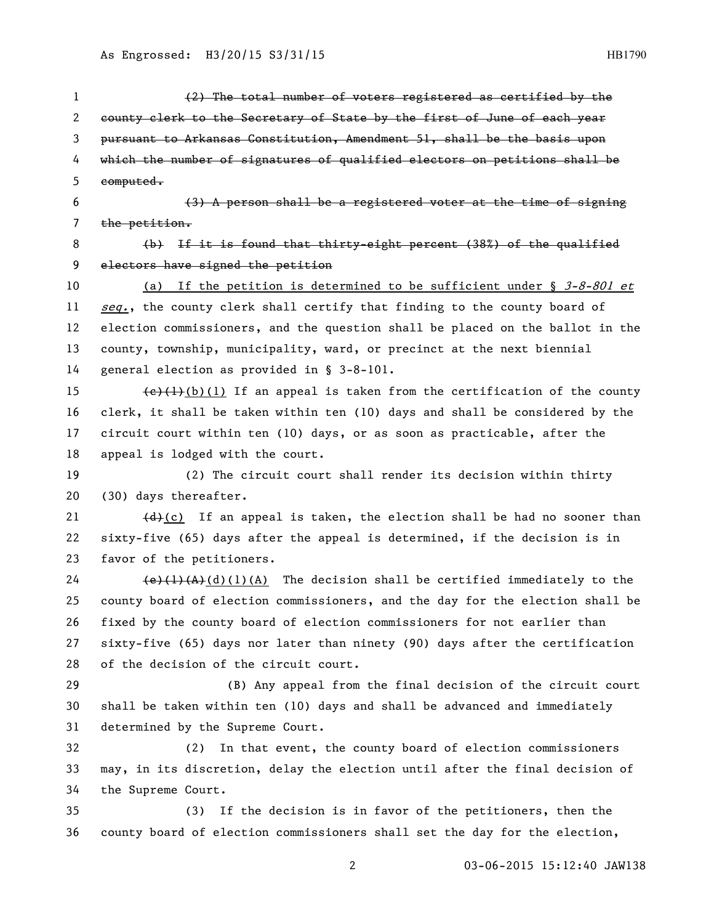| 1                     | (2) The total number of voters registered as certified by the                                                               |
|-----------------------|-----------------------------------------------------------------------------------------------------------------------------|
| $\mathbf{2}^{\prime}$ | county clerk to the Secretary of State by the first of June of each year                                                    |
| 3                     | pursuant to Arkansas Constitution, Amendment 51, shall be the basis upon                                                    |
| 4                     | which the number of signatures of qualified electors on petitions shall be                                                  |
| 5                     | computed.                                                                                                                   |
| 6                     | $(3)$ A person shall be a registered voter at the time of signing                                                           |
| 7                     | the petition.                                                                                                               |
| 8                     | (b) If it is found that thirty-eight percent (38%) of the qualified                                                         |
| 9                     | electors have signed the petition                                                                                           |
| 10                    | If the petition is determined to be sufficient under § $3-8-801$ et<br>(a)                                                  |
| 11                    | seq., the county clerk shall certify that finding to the county board of                                                    |
| 12                    | election commissioners, and the question shall be placed on the ballot in the                                               |
| 13                    | county, township, municipality, ward, or precinct at the next biennial                                                      |
| 14                    | general election as provided in § 3-8-101.                                                                                  |
| 15                    | $\left(\frac{e}{t}\right)\left(\frac{1}{b}\right)\left(1\right)$ If an appeal is taken from the certification of the county |
| 16                    | clerk, it shall be taken within ten (10) days and shall be considered by the                                                |
| 17                    | circuit court within ten (10) days, or as soon as practicable, after the                                                    |
| 18                    | appeal is lodged with the court.                                                                                            |
| 19                    | (2) The circuit court shall render its decision within thirty                                                               |
| 20                    | (30) days thereafter.                                                                                                       |
| 21                    | $\left(\frac{d}{c}\right)$ If an appeal is taken, the election shall be had no sooner than                                  |
| 22                    | sixty-five (65) days after the appeal is determined, if the decision is in                                                  |
| 23                    | favor of the petitioners.                                                                                                   |
| 24                    | $\left(\frac{e}{(1)(A)}\right)\left(\frac{d}{d}\right)$ (1)(A) The decision shall be certified immediately to the           |
| 25                    | county board of election commissioners, and the day for the election shall be                                               |
| 26                    | fixed by the county board of election commissioners for not earlier than                                                    |
| 27                    | sixty-five (65) days nor later than ninety (90) days after the certification                                                |
| 28                    | of the decision of the circuit court.                                                                                       |
| 29                    | (B) Any appeal from the final decision of the circuit court                                                                 |
| 30                    | shall be taken within ten (10) days and shall be advanced and immediately                                                   |
| 31                    | determined by the Supreme Court.                                                                                            |
| 32                    | In that event, the county board of election commissioners<br>(2)                                                            |
| 33                    | may, in its discretion, delay the election until after the final decision of                                                |
| 34                    | the Supreme Court.                                                                                                          |
| 35                    | If the decision is in favor of the petitioners, then the<br>(3)                                                             |
| 36                    | county board of election commissioners shall set the day for the election,                                                  |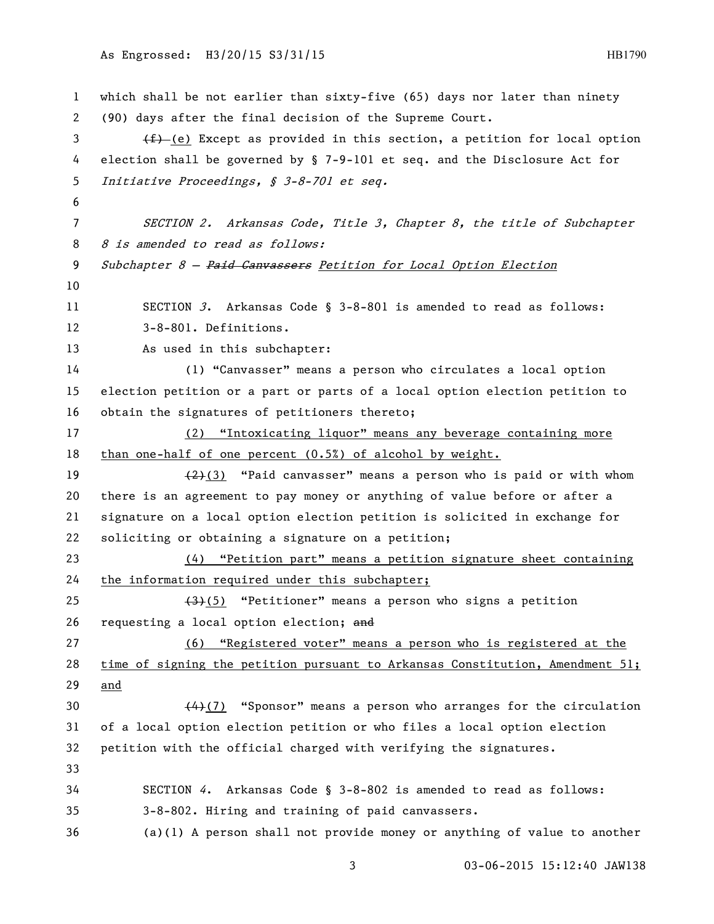```
1 which shall be not earlier than sixty-five (65) days nor later than ninety 
2 (90) days after the final decision of the Supreme Court.
\overline{f} (e) Except as provided in this section, a petition for local option
4 election shall be governed by § 7-9-101 et seq. and the Disclosure Act for 
5 Initiative Proceedings, § 3-8-701 et seq.
6
7 SECTION 2. Arkansas Code, Title 3, Chapter 8, the title of Subchapter 
8 8 is amended to read as follows:
9 Subchapter 8 - Paid Canvassers Petition for Local Option Election
10
11 SECTION 3. Arkansas Code § 3-8-801 is amended to read as follows:
12 3-8-801. Definitions.
13 As used in this subchapter:
14 (1) "Canvasser" means a person who circulates a local option 
15 election petition or a part or parts of a local option election petition to 
16 obtain the signatures of petitioners thereto;
17 (2) "Intoxicating liquor" means any beverage containing more 
18 than one-half of one percent (0.5%) of alcohol by weight.
19 \left(\frac{2}{2}\right) "Paid canvasser" means a person who is paid or with whom
20 there is an agreement to pay money or anything of value before or after a 
21 signature on a local option election petition is solicited in exchange for 
22 soliciting or obtaining a signature on a petition;
23 (4) "Petition part" means a petition signature sheet containing 
24 the information required under this subchapter;
25 (3)(5) "Petitioner" means a person who signs a petition
26 requesting a local option election; and
27 (6) "Registered voter" means a person who is registered at the 
28 time of signing the petition pursuant to Arkansas Constitution, Amendment 51; 
29 and
30 (4) (7) "Sponsor" means a person who arranges for the circulation
31 of a local option election petition or who files a local option election 
32 petition with the official charged with verifying the signatures.
33
34 SECTION 4. Arkansas Code § 3-8-802 is amended to read as follows:
35 3-8-802. Hiring and training of paid canvassers.
36 (a)(1) A person shall not provide money or anything of value to another
```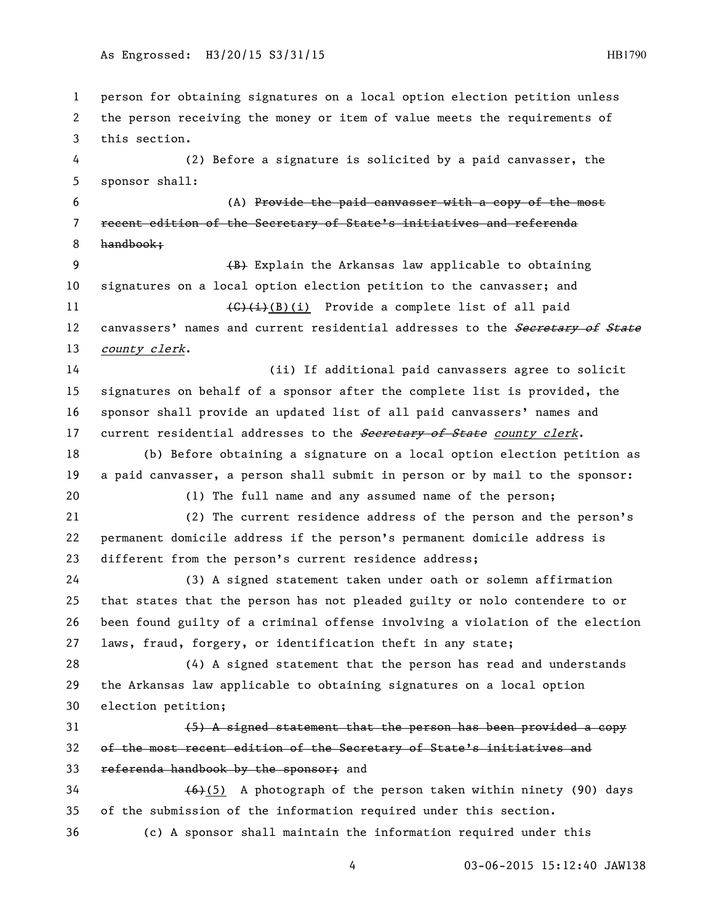## As Engrossed: H3/20/15 S3/31/15 http://www.edu.com/educations/educations/educations/educations/educations/educ

 person for obtaining signatures on a local option election petition unless the person receiving the money or item of value meets the requirements of this section. (2) Before a signature is solicited by a paid canvasser, the sponsor shall: (A) Provide the paid canvasser with a copy of the most recent edition of the Secretary of State's initiatives and referenda handbook; 9 (B) Explain the Arkansas law applicable to obtaining signatures on a local option election petition to the canvasser; and  $\left(\frac{C}{t}\right)(B)(i)$  Provide a complete list of all paid 12 canvassers' names and current residential addresses to the **Secretary of State** 13 county clerk. (ii) If additional paid canvassers agree to solicit signatures on behalf of a sponsor after the complete list is provided, the sponsor shall provide an updated list of all paid canvassers' names and 17 current residential addresses to the **Secretary of State** county clerk. (b) Before obtaining a signature on a local option election petition as a paid canvasser, a person shall submit in person or by mail to the sponsor: (1) The full name and any assumed name of the person; (2) The current residence address of the person and the person's permanent domicile address if the person's permanent domicile address is different from the person's current residence address; (3) A signed statement taken under oath or solemn affirmation that states that the person has not pleaded guilty or nolo contendere to or been found guilty of a criminal offense involving a violation of the election laws, fraud, forgery, or identification theft in any state; (4) A signed statement that the person has read and understands the Arkansas law applicable to obtaining signatures on a local option election petition; (5) A signed statement that the person has been provided a copy of the most recent edition of the Secretary of State's initiatives and 33 referenda handbook by the sponsor; and (6)(5) A photograph of the person taken within ninety (90) days of the submission of the information required under this section. (c) A sponsor shall maintain the information required under this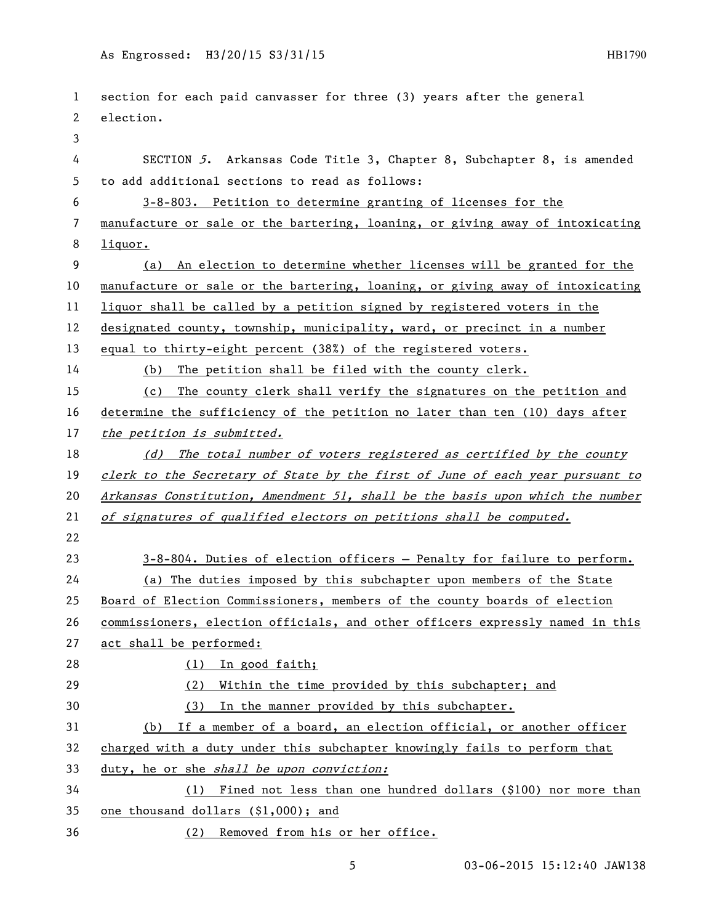```
1 section for each paid canvasser for three (3) years after the general 
 2 election.
 3
 4 SECTION 5. Arkansas Code Title 3, Chapter 8, Subchapter 8, is amended 
5 to add additional sections to read as follows:
6 3-8-803. Petition to determine granting of licenses for the 
7 manufacture or sale or the bartering, loaning, or giving away of intoxicating 
8 liquor.
9 (a) An election to determine whether licenses will be granted for the 
10 manufacture or sale or the bartering, loaning, or giving away of intoxicating 
11 liquor shall be called by a petition signed by registered voters in the 
12 designated county, township, municipality, ward, or precinct in a number 
13 equal to thirty-eight percent (38%) of the registered voters.
14 (b) The petition shall be filed with the county clerk.
15 (c) The county clerk shall verify the signatures on the petition and 
16 determine the sufficiency of the petition no later than ten (10) days after 
17 the petition is submitted.
18 (d) The total number of voters registered as certified by the county
19 clerk to the Secretary of State by the first of June of each year pursuant to
20 Arkansas Constitution, Amendment 51, shall be the basis upon which the number 
21 of signatures of qualified electors on petitions shall be computed.
22
23 3-8-804. Duties of election officers — Penalty for failure to perform.
24 (a) The duties imposed by this subchapter upon members of the State 
25 Board of Election Commissioners, members of the county boards of election 
26 commissioners, election officials, and other officers expressly named in this 
27 act shall be performed:
28 (1) In good faith;
29 (2) Within the time provided by this subchapter; and
30 (3) In the manner provided by this subchapter.
31 (b) If a member of a board, an election official, or another officer 
32 charged with a duty under this subchapter knowingly fails to perform that 
33 duty, he or she shall be upon conviction:
34 (1) Fined not less than one hundred dollars ($100) nor more than 
35 one thousand dollars ($1,000); and
36 (2) Removed from his or her office.
```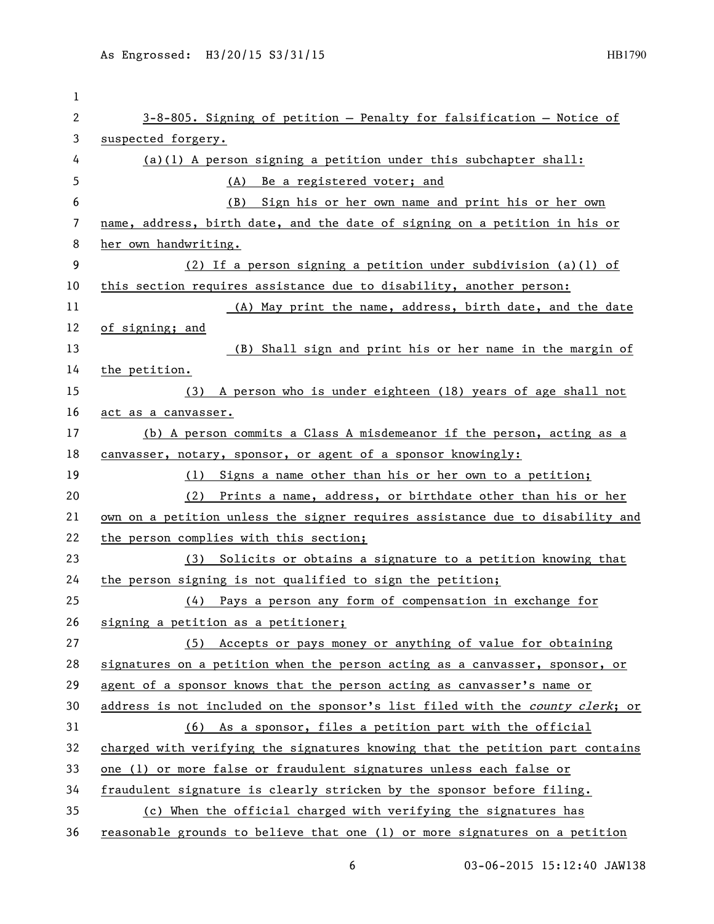| 1            |                                                                               |
|--------------|-------------------------------------------------------------------------------|
| $\mathbf{2}$ | 3-8-805. Signing of petition - Penalty for falsification - Notice of          |
| 3            | suspected forgery.                                                            |
| 4            | $(a)(1)$ A person signing a petition under this subchapter shall:             |
| 5            | (A) Be a registered voter; and                                                |
| 6            | Sign his or her own name and print his or her own<br>(B)                      |
| 7            | name, address, birth date, and the date of signing on a petition in his or    |
| 8            | her own handwriting.                                                          |
| 9            | (2) If a person signing a petition under subdivision (a)(1) of                |
| 10           | this section requires assistance due to disability, another person:           |
| 11           | (A) May print the name, address, birth date, and the date                     |
| 12           | of signing; and                                                               |
| 13           | (B) Shall sign and print his or her name in the margin of                     |
| 14           | the petition.                                                                 |
| 15           | (3) A person who is under eighteen (18) years of age shall not                |
| 16           | act as a canvasser.                                                           |
| 17           | (b) A person commits a Class A misdemeanor if the person, acting as a         |
| 18           | canvasser, notary, sponsor, or agent of a sponsor knowingly:                  |
| 19           | (1) Signs a name other than his or her own to a petition;                     |
| 20           | (2) Prints a name, address, or birthdate other than his or her                |
| 21           | own on a petition unless the signer requires assistance due to disability and |
| 22           | the person complies with this section;                                        |
| 23           | (3) Solicits or obtains a signature to a petition knowing that                |
| 24           | the person signing is not qualified to sign the petition;                     |
| 25           | (4) Pays a person any form of compensation in exchange for                    |
| 26           | signing a petition as a petitioner;                                           |
| 27           | (5) Accepts or pays money or anything of value for obtaining                  |
| 28           | signatures on a petition when the person acting as a canvasser, sponsor, or   |
| 29           | agent of a sponsor knows that the person acting as canvasser's name or        |
| 30           | address is not included on the sponsor's list filed with the county clerk; or |
| 31           | (6) As a sponsor, files a petition part with the official                     |
| 32           | charged with verifying the signatures knowing that the petition part contains |
| 33           | one (1) or more false or fraudulent signatures unless each false or           |
| 34           | fraudulent signature is clearly stricken by the sponsor before filing.        |
| 35           | (c) When the official charged with verifying the signatures has               |
| 36           | reasonable grounds to believe that one (1) or more signatures on a petition   |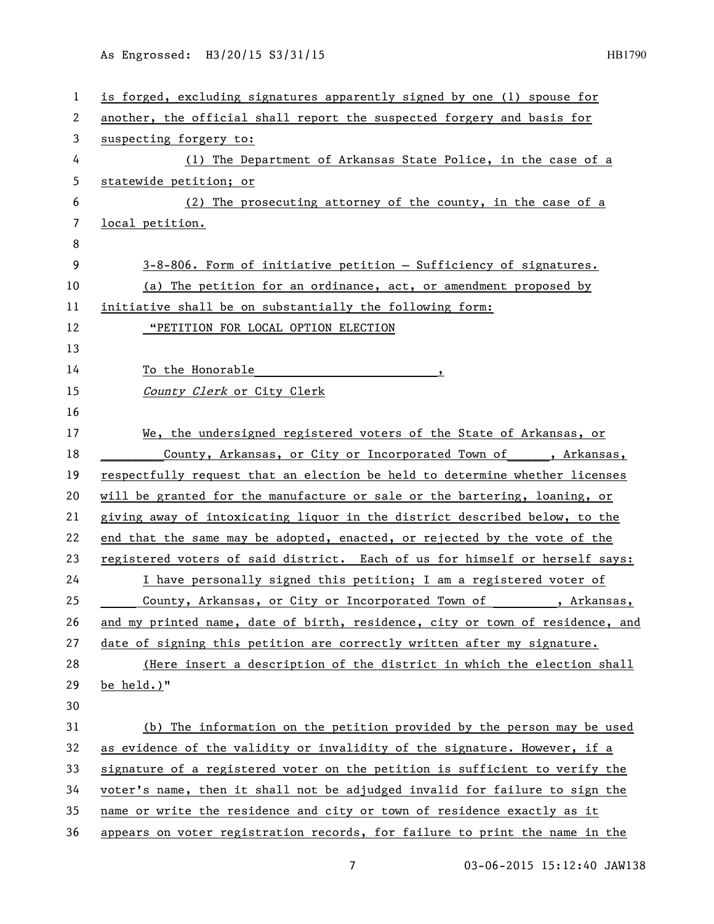| 1  | is forged, excluding signatures apparently signed by one (1) spouse for       |
|----|-------------------------------------------------------------------------------|
| 2  | another, the official shall report the suspected forgery and basis for        |
| 3  | suspecting forgery to:                                                        |
| 4  | (1) The Department of Arkansas State Police, in the case of a                 |
| 5  | statewide petition; or                                                        |
| 6  | (2) The prosecuting attorney of the county, in the case of a                  |
| 7  | local petition.                                                               |
| 8  |                                                                               |
| 9  | 3-8-806. Form of initiative petition - Sufficiency of signatures.             |
| 10 | (a) The petition for an ordinance, act, or amendment proposed by              |
| 11 | initiative shall be on substantially the following form:                      |
| 12 | "PETITION FOR LOCAL OPTION ELECTION                                           |
| 13 |                                                                               |
| 14 | To the Honorable                                                              |
| 15 | County Clerk or City Clerk                                                    |
| 16 |                                                                               |
| 17 | We, the undersigned registered voters of the State of Arkansas, or            |
| 18 | County, Arkansas, or City or Incorporated Town of , Arkansas,                 |
| 19 | respectfully request that an election be held to determine whether licenses   |
| 20 | will be granted for the manufacture or sale or the bartering, loaning, or     |
| 21 | giving away of intoxicating liquor in the district described below, to the    |
| 22 | end that the same may be adopted, enacted, or rejected by the vote of the     |
| 23 | registered voters of said district. Each of us for himself or herself says:   |
| 24 | I have personally signed this petition; I am a registered voter of            |
| 25 | County, Arkansas, or City or Incorporated Town of , Arkansas,                 |
| 26 | and my printed name, date of birth, residence, city or town of residence, and |
| 27 | date of signing this petition are correctly written after my signature.       |
| 28 | (Here insert a description of the district in which the election shall        |
| 29 | be held.)"                                                                    |
| 30 |                                                                               |
| 31 | (b) The information on the petition provided by the person may be used        |
| 32 | as evidence of the validity or invalidity of the signature. However, if a     |
| 33 | signature of a registered voter on the petition is sufficient to verify the   |
| 34 | voter's name, then it shall not be adjudged invalid for failure to sign the   |
| 35 | name or write the residence and city or town of residence exactly as it       |
| 36 | appears on voter registration records, for failure to print the name in the   |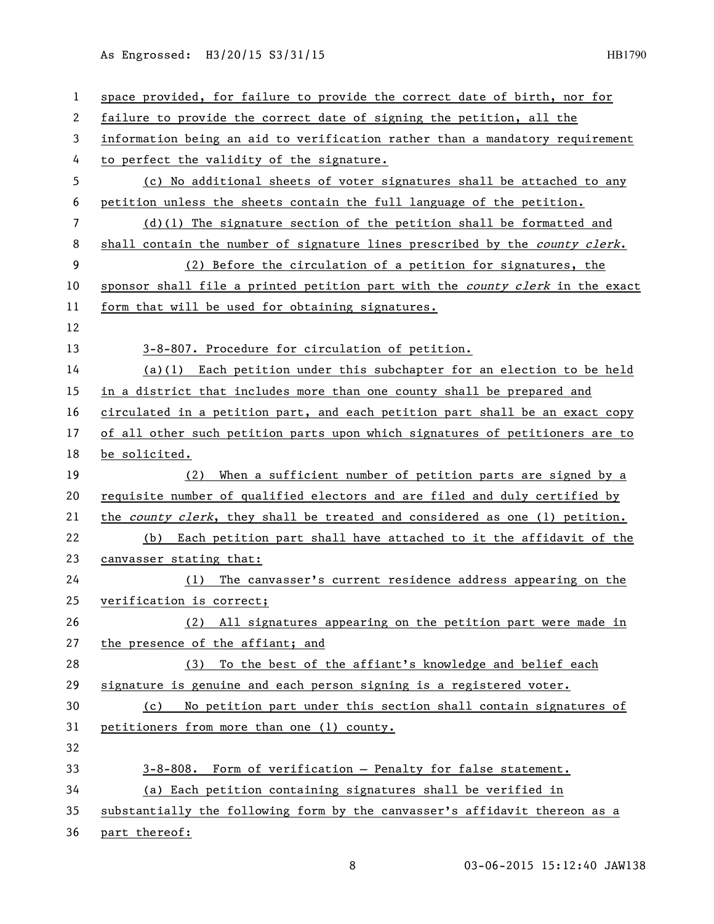As Engrossed: H3/20/15 S3/31/15 1990

| 1              | space provided, for failure to provide the correct date of birth, nor for     |
|----------------|-------------------------------------------------------------------------------|
| 2              | failure to provide the correct date of signing the petition, all the          |
| 3              | information being an aid to verification rather than a mandatory requirement  |
| 4              | to perfect the validity of the signature.                                     |
| 5              | (c) No additional sheets of voter signatures shall be attached to any         |
| 6              | petition unless the sheets contain the full language of the petition.         |
| $\overline{7}$ | $(d)(1)$ The signature section of the petition shall be formatted and         |
| 8              | shall contain the number of signature lines prescribed by the county clerk.   |
| 9              | (2) Before the circulation of a petition for signatures, the                  |
| 10             | sponsor shall file a printed petition part with the county clerk in the exact |
| 11             | form that will be used for obtaining signatures.                              |
| 12             |                                                                               |
| 13             | 3-8-807. Procedure for circulation of petition.                               |
| 14             | $(a)(1)$ Each petition under this subchapter for an election to be held       |
| 15             | in a district that includes more than one county shall be prepared and        |
| 16             | circulated in a petition part, and each petition part shall be an exact copy  |
| 17             | of all other such petition parts upon which signatures of petitioners are to  |
| 18             | be solicited.                                                                 |
| 19             | When a sufficient number of petition parts are signed by a<br>(2)             |
| 20             | requisite number of qualified electors and are filed and duly certified by    |
| 21             | the county clerk, they shall be treated and considered as one (1) petition.   |
| 22             | (b) Each petition part shall have attached to it the affidavit of the         |
| 23             | canvasser stating that:                                                       |
| 24             | (1) The canvasser's current residence address appearing on the                |
| 25             | verification is correct;                                                      |
| 26             | (2) All signatures appearing on the petition part were made in                |
| 27             | the presence of the affiant; and                                              |
| 28             | To the best of the affiant's knowledge and belief each<br>(3)                 |
| 29             | signature is genuine and each person signing is a registered voter.           |
| 30             | No petition part under this section shall contain signatures of<br>(c)        |
| 31             | petitioners from more than one (1) county.                                    |
| 32             |                                                                               |
| 33             | 3-8-808. Form of verification - Penalty for false statement.                  |
| 34             | (a) Each petition containing signatures shall be verified in                  |
| 35             | substantially the following form by the canvasser's affidavit thereon as a    |
| 36             | part thereof:                                                                 |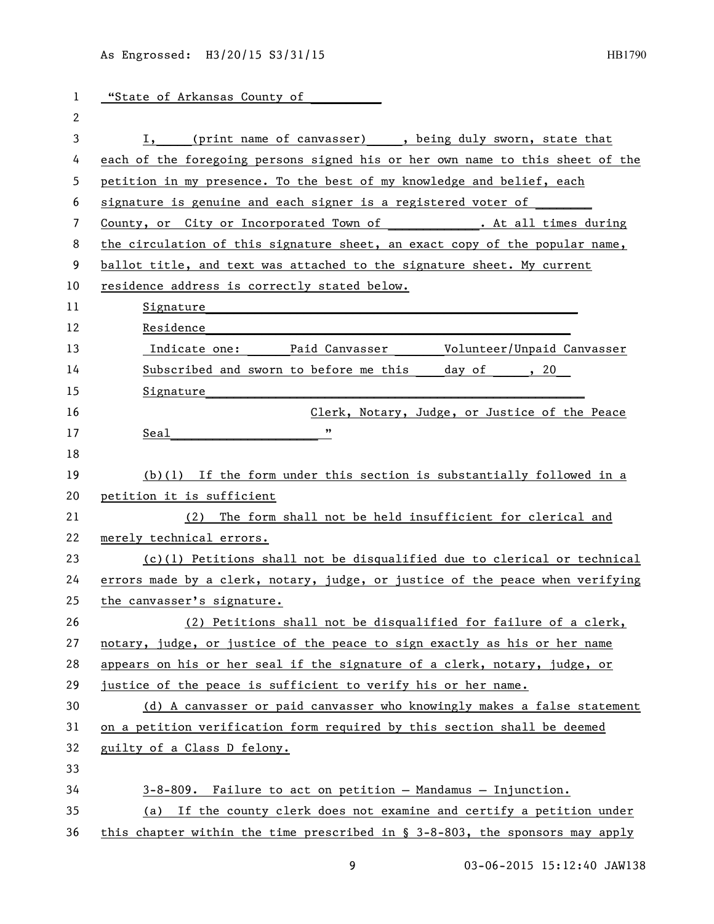1 "State of Arkansas County of 3 I, (print name of canvasser) \_\_\_, being duly sworn, state that each of the foregoing persons signed his or her own name to this sheet of the petition in my presence. To the best of my knowledge and belief, each 6 signature is genuine and each signer is a registered voter of 7 County, or City or Incorporated Town of . At all times during 8 the circulation of this signature sheet, an exact copy of the popular name, ballot title, and text was attached to the signature sheet. My current residence address is correctly stated below. 11 Signature 12 Residence 13 13 Indicate one: Paid Canvasser Volunteer/Unpaid Canvasser 14 Subscribed and sworn to before me this day of , 20 15 Signature Clerk, Notary, Judge, or Justice of the Peace Seal\_\_\_\_\_\_\_\_\_\_\_\_\_\_\_\_\_\_\_\_\_ " (b)(1) If the form under this section is substantially followed in a petition it is sufficient (2) The form shall not be held insufficient for clerical and merely technical errors. (c)(1) Petitions shall not be disqualified due to clerical or technical errors made by a clerk, notary, judge, or justice of the peace when verifying the canvasser's signature. (2) Petitions shall not be disqualified for failure of a clerk, notary, judge, or justice of the peace to sign exactly as his or her name appears on his or her seal if the signature of a clerk, notary, judge, or justice of the peace is sufficient to verify his or her name. (d) A canvasser or paid canvasser who knowingly makes a false statement on a petition verification form required by this section shall be deemed guilty of a Class D felony. 3-8-809. Failure to act on petition — Mandamus — Injunction. (a) If the county clerk does not examine and certify a petition under this chapter within the time prescribed in § 3-8-803, the sponsors may apply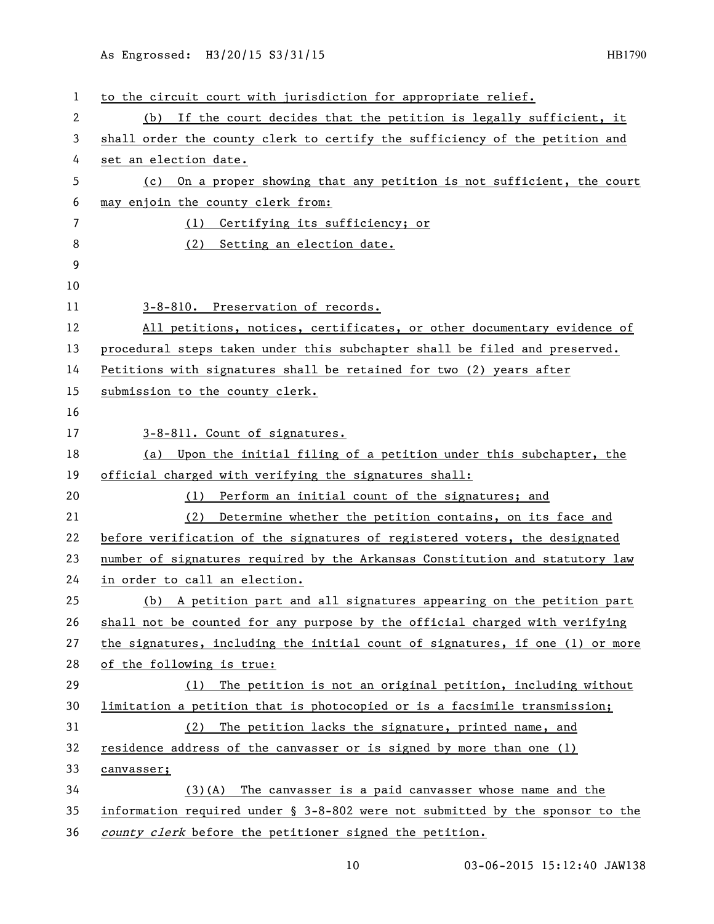## As Engrossed: H3/20/15 S3/31/15 1990

| 1  | to the circuit court with jurisdiction for appropriate relief.                |
|----|-------------------------------------------------------------------------------|
| 2  | If the court decides that the petition is legally sufficient, it<br>(b)       |
| 3  | shall order the county clerk to certify the sufficiency of the petition and   |
| 4  | set an election date.                                                         |
| 5  | On a proper showing that any petition is not sufficient, the court<br>(c)     |
| 6  | may enjoin the county clerk from:                                             |
| 7  | (1) Certifying its sufficiency; or                                            |
| 8  | Setting an election date.<br>(2)                                              |
| 9  |                                                                               |
| 10 |                                                                               |
| 11 | 3-8-810. Preservation of records.                                             |
| 12 | All petitions, notices, certificates, or other documentary evidence of        |
| 13 | procedural steps taken under this subchapter shall be filed and preserved.    |
| 14 | Petitions with signatures shall be retained for two (2) years after           |
| 15 | submission to the county clerk.                                               |
| 16 |                                                                               |
| 17 | 3-8-811. Count of signatures.                                                 |
| 18 | (a) Upon the initial filing of a petition under this subchapter, the          |
| 19 | official charged with verifying the signatures shall:                         |
| 20 | (1) Perform an initial count of the signatures; and                           |
| 21 | Determine whether the petition contains, on its face and<br>(2)               |
| 22 | before verification of the signatures of registered voters, the designated    |
| 23 | number of signatures required by the Arkansas Constitution and statutory law  |
| 24 | in order to call an election.                                                 |
| 25 | (b) A petition part and all signatures appearing on the petition part         |
| 26 | shall not be counted for any purpose by the official charged with verifying   |
| 27 | the signatures, including the initial count of signatures, if one (1) or more |
| 28 | of the following is true:                                                     |
| 29 | The petition is not an original petition, including without<br>(1)            |
| 30 | limitation a petition that is photocopied or is a facsimile transmission;     |
| 31 | (2) The petition lacks the signature, printed name, and                       |
| 32 | residence address of the canvasser or is signed by more than one (1)          |
| 33 | canvasser;                                                                    |
| 34 | $(3)(A)$ The canvasser is a paid canvasser whose name and the                 |
| 35 | information required under § 3-8-802 were not submitted by the sponsor to the |
| 36 | county clerk before the petitioner signed the petition.                       |